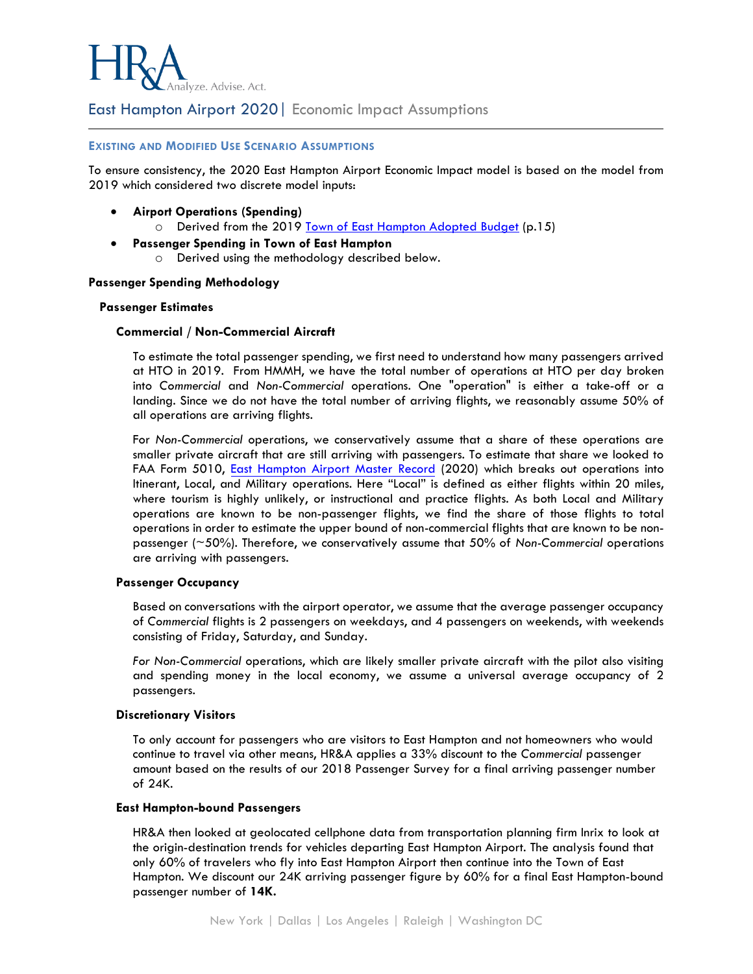

East Hampton Airport 2020| Economic Impact Assumptions

## **EXISTING AND MODIFIED USE SCENARIO ASSUMPTIONS**

To ensure consistency, the 2020 East Hampton Airport Economic Impact model is based on the model from 2019 which considered two discrete model inputs:

- **Airport Operations (Spending)**
	- o Derived from the 2019 [Town of East Hampton Adopted Budget](https://www.ehamptonny.gov/ArchiveCenter/ViewFile/Item/147) (p.15)
- **Passenger Spending in Town of East Hampton** o Derived using the methodology described below.

## **Passenger Spending Methodology**

## **Passenger Estimates**

## **Commercial / Non-Commercial Aircraft**

To estimate the total passenger spending, we first need to understand how many passengers arrived at HTO in 2019. From HMMH, we have the total number of operations at HTO per day broken into *Commercial* and *Non-Commercial* operations. One "operation" is either a take-off or a landing. Since we do not have the total number of arriving flights, we reasonably assume 50% of all operations are arriving flights.

For *Non-Commercial* operations, we conservatively assume that a share of these operations are smaller private aircraft that are still arriving with passengers. To estimate that share we looked to FAA Form 5010, [East Hampton](https://www.gcr1.com/5010ReportRouter/HTO.pdf) Airport Master Record (2020) which breaks out operations into Itinerant, Local, and Military operations. Here "Local" is defined as either flights within 20 miles, where tourism is highly unlikely, or instructional and practice flights. As both Local and Military operations are known to be non-passenger flights, we find the share of those flights to total operations in order to estimate the upper bound of non-commercial flights that are known to be nonpassenger (~50%). Therefore, we conservatively assume that 50% of *Non-Commercial* operations are arriving with passengers.

## **Passenger Occupancy**

Based on conversations with the airport operator, we assume that the average passenger occupancy of *Commercial* flights is 2 passengers on weekdays, and 4 passengers on weekends, with weekends consisting of Friday, Saturday, and Sunday.

*For Non-Commercial* operations, which are likely smaller private aircraft with the pilot also visiting and spending money in the local economy, we assume a universal average occupancy of 2 passengers.

#### **Discretionary Visitors**

To only account for passengers who are visitors to East Hampton and not homeowners who would continue to travel via other means, HR&A applies a 33% discount to the *Commercial* passenger amount based on the results of our 2018 Passenger Survey for a final arriving passenger number of 24K.

#### **East Hampton-bound Passengers**

HR&A then looked at geolocated cellphone data from transportation planning firm Inrix to look at the origin-destination trends for vehicles departing East Hampton Airport. The analysis found that only 60% of travelers who fly into East Hampton Airport then continue into the Town of East Hampton. We discount our 24K arriving passenger figure by 60% for a final East Hampton-bound passenger number of **14K.**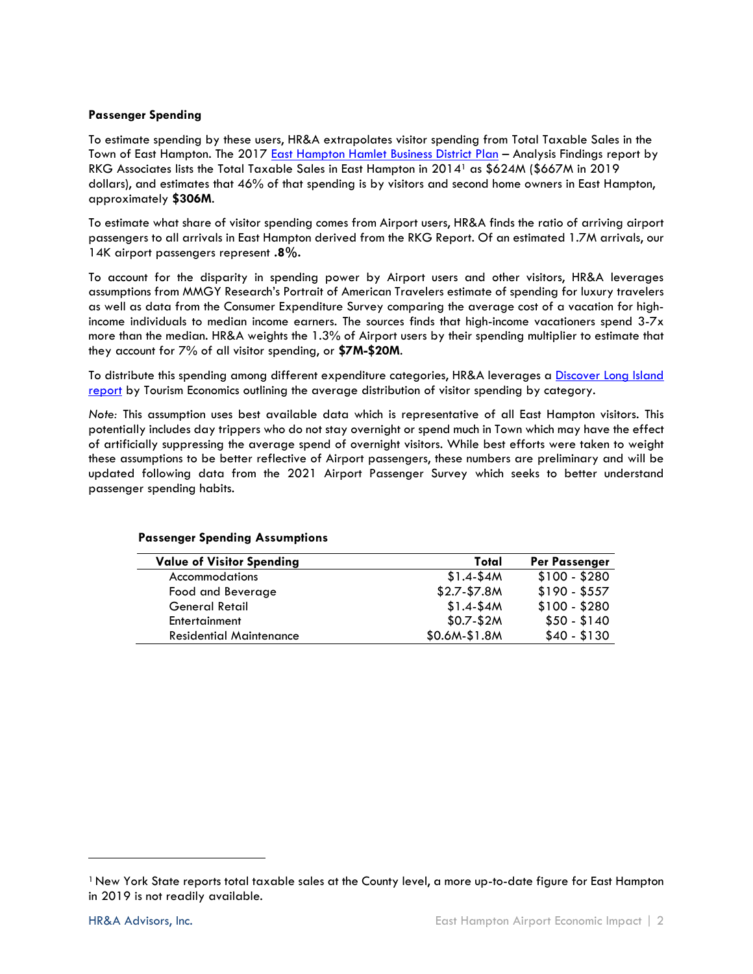## **Passenger Spending**

To estimate spending by these users, HR&A extrapolates visitor spending from Total Taxable Sales in the Town of East Hampton. The 2017 East Hampton [Hamlet Business District Plan](http://ehamptonny.gov/DocumentCenter/View/2292/East-Hampton-Business-District-Plan-May-2017-PDF) - Analysis Findings report by RKG Associates lists the Total Taxable Sales in East Hampton in 2014<sup>1</sup> as \$624M (\$667M in 2019 dollars), and estimates that 46% of that spending is by visitors and second home owners in East Hampton, approximately **\$306M**.

To estimate what share of visitor spending comes from Airport users, HR&A finds the ratio of arriving airport passengers to all arrivals in East Hampton derived from the RKG Report. Of an estimated 1.7M arrivals, our 14K airport passengers represent **.8%.**

To account for the disparity in spending power by Airport users and other visitors, HR&A leverages assumptions from MMGY Research's Portrait of American Travelers estimate of spending for luxury travelers as well as data from the Consumer Expenditure Survey comparing the average cost of a vacation for highincome individuals to median income earners. The sources finds that high-income vacationers spend 3-7x more than the median. HR&A weights the 1.3% of Airport users by their spending multiplier to estimate that they account for 7% of all visitor spending, or **\$7M-\$20M**.

To distribute this spending among different expenditure categories, HR&A leverages a [Discover Long Island](https://www.discoverlongisland.com/wp-content/uploads/2015/09/NYS-Tourism-Impact-Long-Island-2017-CLIENT.pdf)  [report](https://www.discoverlongisland.com/wp-content/uploads/2015/09/NYS-Tourism-Impact-Long-Island-2017-CLIENT.pdf) by Tourism Economics outlining the average distribution of visitor spending by category.

*Note:* This assumption uses best available data which is representative of all East Hampton visitors. This potentially includes day trippers who do not stay overnight or spend much in Town which may have the effect of artificially suppressing the average spend of overnight visitors. While best efforts were taken to weight these assumptions to be better reflective of Airport passengers, these numbers are preliminary and will be updated following data from the 2021 Airport Passenger Survey which seeks to better understand passenger spending habits.

| <b>Value of Visitor Spending</b> | Total          | <b>Per Passenger</b> |
|----------------------------------|----------------|----------------------|
| <b>Accommodations</b>            | $$1.4-S4M$     | $$100 - $280$        |
| Food and Beverage                | $$2.7 - $7.8M$ | $$190 - $557$        |
| <b>General Retail</b>            | $$1.4-S4M$     | $$100 - $280$        |
| Entertainment                    | $$0.7-$2M$     | $$50 - $140$         |
| <b>Residential Maintenance</b>   | $$0.6M-S1.8M$  | $$40 - $130$         |

## **Passenger Spending Assumptions**

<sup>1</sup>New York State reports total taxable sales at the County level, a more up-to-date figure for East Hampton in 2019 is not readily available.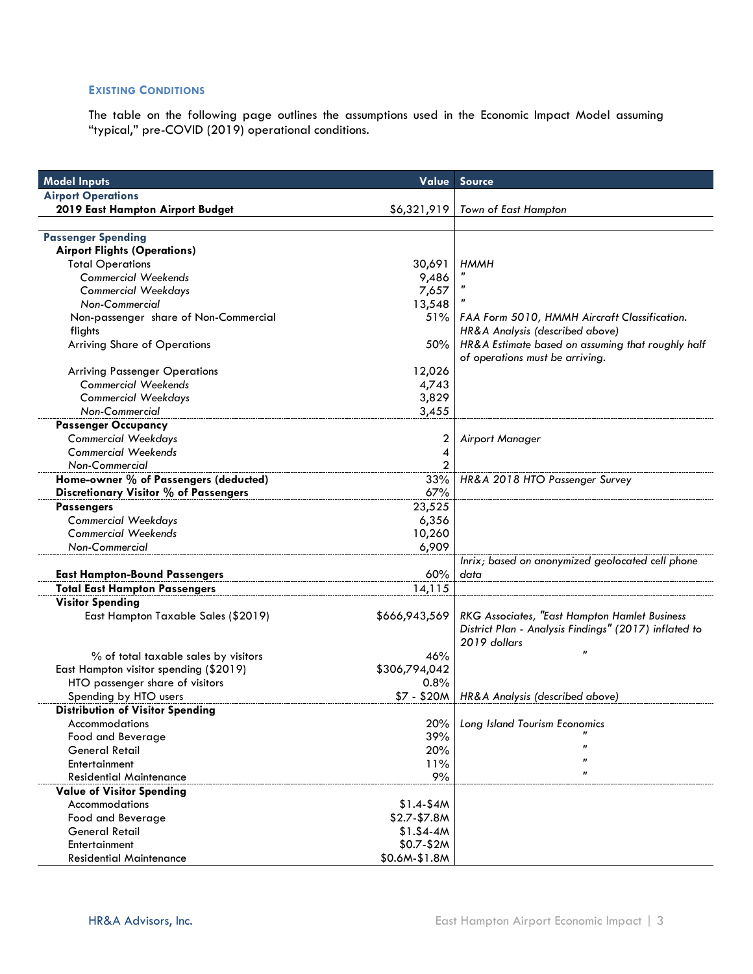# **EXISTING CONDITIONS**

The table on the following page outlines the assumptions used in the Economic Impact Model assuming "typical," pre-COVID (2019) operational conditions.

| <b>Model Inputs</b>                     | Value          | <b>Source</b>                                         |
|-----------------------------------------|----------------|-------------------------------------------------------|
| <b>Airport Operations</b>               |                |                                                       |
| 2019 East Hampton Airport Budget        | \$6,321,919    | Town of East Hampton                                  |
|                                         |                |                                                       |
| <b>Passenger Spending</b>               |                |                                                       |
| <b>Airport Flights (Operations)</b>     |                |                                                       |
| <b>Total Operations</b>                 | 30,691         | <b>HMMH</b>                                           |
| <b>Commercial Weekends</b>              | 9,486          |                                                       |
| <b>Commercial Weekdays</b>              | 7,657          | $\pmb{\eta}$                                          |
| Non-Commercial                          | 13,548         |                                                       |
| Non-passenger share of Non-Commercial   | 51%            | FAA Form 5010, HMMH Aircraft Classification.          |
| flights                                 |                | HR&A Analysis (described above)                       |
| <b>Arriving Share of Operations</b>     | 50%            | HR&A Estimate based on assuming that roughly half     |
|                                         |                | of operations must be arriving.                       |
| <b>Arriving Passenger Operations</b>    | 12,026         |                                                       |
| <b>Commercial Weekends</b>              | 4,743          |                                                       |
| <b>Commercial Weekdays</b>              | 3,829          |                                                       |
| Non-Commercial                          | 3,455          |                                                       |
| <b>Passenger Occupancy</b>              |                |                                                       |
| <b>Commercial Weekdays</b>              | 2              | Airport Manager                                       |
| <b>Commercial Weekends</b>              | 4              |                                                       |
| Non-Commercial                          | $\overline{2}$ |                                                       |
| Home-owner % of Passengers (deducted)   | 33%            | HR&A 2018 HTO Passenger Survey                        |
| Discretionary Visitor % of Passengers   | 67%            |                                                       |
| <b>Passengers</b>                       | 23,525         |                                                       |
| <b>Commercial Weekdays</b>              | 6,356          |                                                       |
| <b>Commercial Weekends</b>              | 10,260         |                                                       |
| Non-Commercial                          | 6,909          |                                                       |
|                                         |                | Inrix; based on anonymized geolocated cell phone      |
| <b>East Hampton-Bound Passengers</b>    | 60%            | data                                                  |
| <b>Total East Hampton Passengers</b>    | 14,115         |                                                       |
| <b>Visitor Spending</b>                 |                |                                                       |
| East Hampton Taxable Sales (\$2019)     | \$666,943,569  | RKG Associates, "East Hampton Hamlet Business         |
|                                         |                | District Plan - Analysis Findings" (2017) inflated to |
|                                         |                | 2019 dollars                                          |
| % of total taxable sales by visitors    | 46%            | $\pmb{\mathcal{H}}$                                   |
| East Hampton visitor spending (\$2019)  | \$306,794,042  |                                                       |
| HTO passenger share of visitors         | 0.8%           |                                                       |
| Spending by HTO users                   | \$7 - \$20M    | HR&A Analysis (described above)                       |
| <b>Distribution of Visitor Spending</b> |                |                                                       |
| Accommodations                          | 20%            | Long Island Tourism Economics                         |
| Food and Beverage                       | 39%            |                                                       |
| General Retail                          | 20%            | $\mathbf{u}$                                          |
| Entertainment                           | 11%            | $\mathbf{u}$                                          |
| <b>Residential Maintenance</b>          | 9%             | $\mathbf{u}$                                          |
| <b>Value of Visitor Spending</b>        |                |                                                       |
| Accommodations                          | $$1.4 - $4M$   |                                                       |
| Food and Beverage                       | $$2.7-$7.8M$   |                                                       |
| <b>General Retail</b>                   | $$1.$ \$4-4M   |                                                       |
| Entertainment                           | $$0.7-$2M$     |                                                       |
| <b>Residential Maintenance</b>          | \$0.6M-\$1.8M  |                                                       |